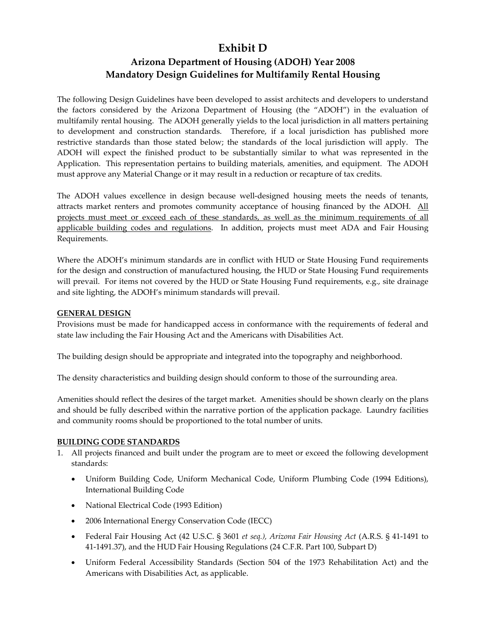# **Exhibit D**

# **Arizona Department of Housing (ADOH) Year 2008 Mandatory Design Guidelines for Multifamily Rental Housing**

The following Design Guidelines have been developed to assist architects and developers to understand the factors considered by the Arizona Department of Housing (the "ADOH") in the evaluation of multifamily rental housing. The ADOH generally yields to the local jurisdiction in all matters pertaining to development and construction standards. Therefore, if a local jurisdiction has published more restrictive standards than those stated below; the standards of the local jurisdiction will apply. The ADOH will expect the finished product to be substantially similar to what was represented in the Application. This representation pertains to building materials, amenities, and equipment. The ADOH must approve any Material Change or it may result in a reduction or recapture of tax credits.

The ADOH values excellence in design because well-designed housing meets the needs of tenants, attracts market renters and promotes community acceptance of housing financed by the ADOH. All projects must meet or exceed each of these standards, as well as the minimum requirements of all applicable building codes and regulations. In addition, projects must meet ADA and Fair Housing Requirements.

Where the ADOH's minimum standards are in conflict with HUD or State Housing Fund requirements for the design and construction of manufactured housing, the HUD or State Housing Fund requirements will prevail. For items not covered by the HUD or State Housing Fund requirements, e.g., site drainage and site lighting, the ADOH's minimum standards will prevail.

# **GENERAL DESIGN**

Provisions must be made for handicapped access in conformance with the requirements of federal and state law including the Fair Housing Act and the Americans with Disabilities Act.

The building design should be appropriate and integrated into the topography and neighborhood.

The density characteristics and building design should conform to those of the surrounding area.

Amenities should reflect the desires of the target market. Amenities should be shown clearly on the plans and should be fully described within the narrative portion of the application package. Laundry facilities and community rooms should be proportioned to the total number of units.

# **BUILDING CODE STANDARDS**

- 1. All projects financed and built under the program are to meet or exceed the following development standards:
	- Uniform Building Code, Uniform Mechanical Code, Uniform Plumbing Code (1994 Editions), International Building Code
	- National Electrical Code (1993 Edition)
	- 2006 International Energy Conservation Code (IECC)
	- Federal Fair Housing Act (42 U.S.C. § 3601 *et seq.), Arizona Fair Housing Act* (A.R.S. § 41‐1491 to 41-1491.37), and the HUD Fair Housing Regulations (24 C.F.R. Part 100, Subpart D)
	- Uniform Federal Accessibility Standards (Section 504 of the 1973 Rehabilitation Act) and the Americans with Disabilities Act, as applicable.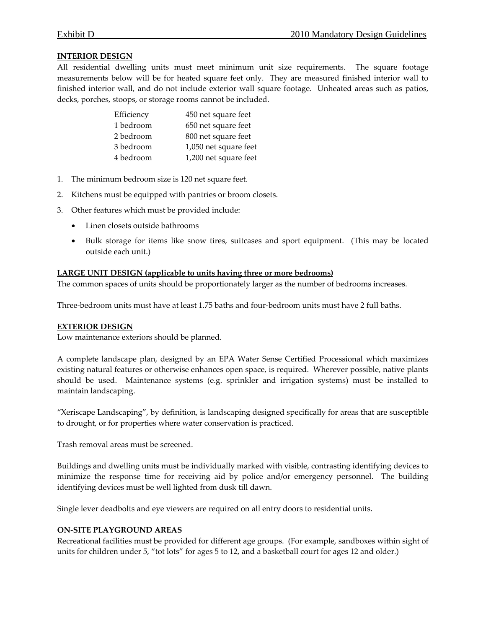## **INTERIOR DESIGN**

All residential dwelling units must meet minimum unit size requirements. The square footage measurements below will be for heated square feet only. They are measured finished interior wall to finished interior wall, and do not include exterior wall square footage. Unheated areas such as patios, decks, porches, stoops, or storage rooms cannot be included.

| Efficiency | 450 net square feet   |
|------------|-----------------------|
| 1 bedroom  | 650 net square feet   |
| 2 bedroom  | 800 net square feet   |
| 3 bedroom  | 1,050 net square feet |
| 4 bedroom  | 1,200 net square feet |

- 1. The minimum bedroom size is 120 net square feet.
- 2. Kitchens must be equipped with pantries or broom closets.
- 3. Other features which must be provided include:
	- Linen closets outside bathrooms
	- Bulk storage for items like snow tires, suitcases and sport equipment. (This may be located outside each unit.)

## **LARGE UNIT DESIGN (applicable to units having three or more bedrooms)**

The common spaces of units should be proportionately larger as the number of bedrooms increases.

Three‐bedroom units must have at least 1.75 baths and four‐bedroom units must have 2 full baths.

#### **EXTERIOR DESIGN**

Low maintenance exteriors should be planned.

A complete landscape plan, designed by an EPA Water Sense Certified Processional which maximizes existing natural features or otherwise enhances open space, is required. Wherever possible, native plants should be used. Maintenance systems (e.g. sprinkler and irrigation systems) must be installed to maintain landscaping.

"Xeriscape Landscaping", by definition, is landscaping designed specifically for areas that are susceptible to drought, or for properties where water conservation is practiced.

Trash removal areas must be screened.

Buildings and dwelling units must be individually marked with visible, contrasting identifying devices to minimize the response time for receiving aid by police and/or emergency personnel. The building identifying devices must be well lighted from dusk till dawn.

Single lever deadbolts and eye viewers are required on all entry doors to residential units.

#### **ON‐SITE PLAYGROUND AREAS**

Recreational facilities must be provided for different age groups. (For example, sandboxes within sight of units for children under 5, "tot lots" for ages 5 to 12, and a basketball court for ages 12 and older.)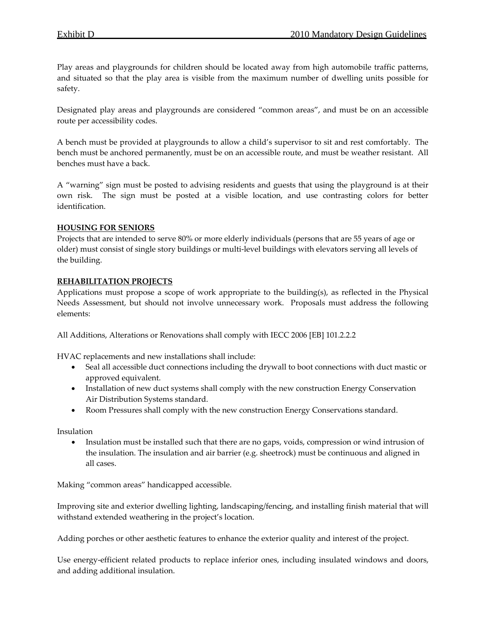Play areas and playgrounds for children should be located away from high automobile traffic patterns, and situated so that the play area is visible from the maximum number of dwelling units possible for safety.

Designated play areas and playgrounds are considered "common areas", and must be on an accessible route per accessibility codes.

A bench must be provided at playgrounds to allow a child's supervisor to sit and rest comfortably. The bench must be anchored permanently, must be on an accessible route, and must be weather resistant. All benches must have a back.

A "warning" sign must be posted to advising residents and guests that using the playground is at their own risk. The sign must be posted at a visible location, and use contrasting colors for better identification.

## **HOUSING FOR SENIORS**

Projects that are intended to serve 80% or more elderly individuals (persons that are 55 years of age or older) must consist of single story buildings or multi‐level buildings with elevators serving all levels of the building.

## **REHABILITATION PROJECTS**

Applications must propose a scope of work appropriate to the building(s), as reflected in the Physical Needs Assessment, but should not involve unnecessary work. Proposals must address the following elements:

All Additions, Alterations or Renovations shall comply with IECC 2006 [EB] 101.2.2.2

HVAC replacements and new installations shall include:

- Seal all accessible duct connections including the drywall to boot connections with duct mastic or approved equivalent.
- Installation of new duct systems shall comply with the new construction Energy Conservation Air Distribution Systems standard.
- Room Pressures shall comply with the new construction Energy Conservations standard.

Insulation

• Insulation must be installed such that there are no gaps, voids, compression or wind intrusion of the insulation. The insulation and air barrier (e.g. sheetrock) must be continuous and aligned in all cases.

Making "common areas" handicapped accessible.

Improving site and exterior dwelling lighting, landscaping/fencing, and installing finish material that will withstand extended weathering in the project's location.

Adding porches or other aesthetic features to enhance the exterior quality and interest of the project.

Use energy-efficient related products to replace inferior ones, including insulated windows and doors, and adding additional insulation.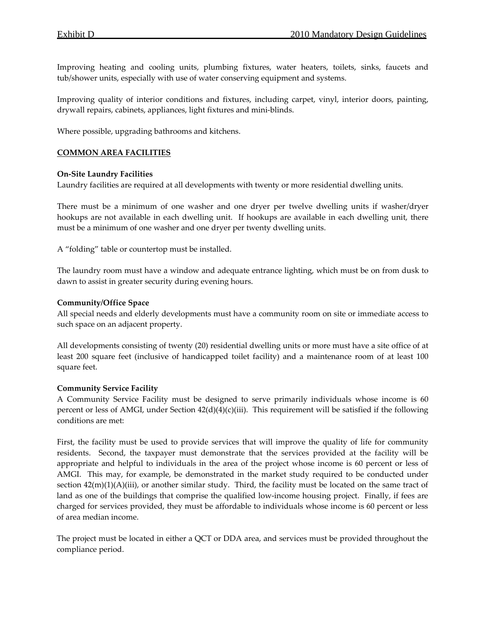Improving heating and cooling units, plumbing fixtures, water heaters, toilets, sinks, faucets and tub/shower units, especially with use of water conserving equipment and systems.

Improving quality of interior conditions and fixtures, including carpet, vinyl, interior doors, painting, drywall repairs, cabinets, appliances, light fixtures and mini‐blinds.

Where possible, upgrading bathrooms and kitchens.

# **COMMON AREA FACILITIES**

#### **On‐Site Laundry Facilities**

Laundry facilities are required at all developments with twenty or more residential dwelling units.

There must be a minimum of one washer and one dryer per twelve dwelling units if washer/dryer hookups are not available in each dwelling unit. If hookups are available in each dwelling unit, there must be a minimum of one washer and one dryer per twenty dwelling units.

A "folding" table or countertop must be installed.

The laundry room must have a window and adequate entrance lighting, which must be on from dusk to dawn to assist in greater security during evening hours.

#### **Community/Office Space**

All special needs and elderly developments must have a community room on site or immediate access to such space on an adjacent property.

All developments consisting of twenty (20) residential dwelling units or more must have a site office of at least 200 square feet (inclusive of handicapped toilet facility) and a maintenance room of at least 100 square feet.

#### **Community Service Facility**

A Community Service Facility must be designed to serve primarily individuals whose income is 60 percent or less of AMGI, under Section 42(d)(4)(c)(iii). This requirement will be satisfied if the following conditions are met:

First, the facility must be used to provide services that will improve the quality of life for community residents. Second, the taxpayer must demonstrate that the services provided at the facility will be appropriate and helpful to individuals in the area of the project whose income is 60 percent or less of AMGI. This may, for example, be demonstrated in the market study required to be conducted under section  $42(m)(1)(A)(iii)$ , or another similar study. Third, the facility must be located on the same tract of land as one of the buildings that comprise the qualified low-income housing project. Finally, if fees are charged for services provided, they must be affordable to individuals whose income is 60 percent or less of area median income.

The project must be located in either a QCT or DDA area, and services must be provided throughout the compliance period.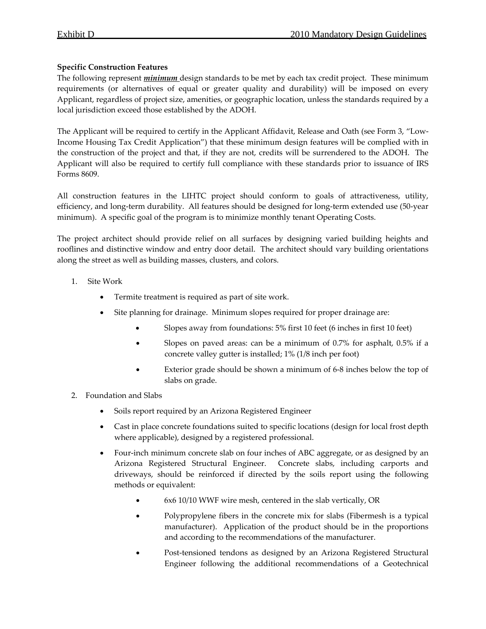# **Specific Construction Features**

The following represent *minimum* design standards to be met by each tax credit project. These minimum requirements (or alternatives of equal or greater quality and durability) will be imposed on every Applicant, regardless of project size, amenities, or geographic location, unless the standards required by a local jurisdiction exceed those established by the ADOH.

The Applicant will be required to certify in the Applicant Affidavit, Release and Oath (see Form 3, "Low‐ Income Housing Tax Credit Application") that these minimum design features will be complied with in the construction of the project and that, if they are not, credits will be surrendered to the ADOH. The Applicant will also be required to certify full compliance with these standards prior to issuance of IRS Forms 8609.

All construction features in the LIHTC project should conform to goals of attractiveness, utility, efficiency, and long-term durability. All features should be designed for long-term extended use (50-year minimum). A specific goal of the program is to minimize monthly tenant Operating Costs.

The project architect should provide relief on all surfaces by designing varied building heights and rooflines and distinctive window and entry door detail. The architect should vary building orientations along the street as well as building masses, clusters, and colors.

- 1. Site Work
	- Termite treatment is required as part of site work.
	- Site planning for drainage. Minimum slopes required for proper drainage are:
		- Slopes away from foundations: 5% first 10 feet (6 inches in first 10 feet)
		- Slopes on paved areas: can be a minimum of 0.7% for asphalt, 0.5% if a concrete valley gutter is installed; 1% (1/8 inch per foot)
		- Exterior grade should be shown a minimum of 6-8 inches below the top of slabs on grade.
- 2. Foundation and Slabs
	- Soils report required by an Arizona Registered Engineer
	- Cast in place concrete foundations suited to specific locations (design for local frost depth where applicable), designed by a registered professional.
	- Four‐inch minimum concrete slab on four inches of ABC aggregate, or as designed by an Arizona Registered Structural Engineer. Concrete slabs, including carports and driveways, should be reinforced if directed by the soils report using the following methods or equivalent:
		- 6x6 10/10 WWF wire mesh, centered in the slab vertically, OR
		- Polypropylene fibers in the concrete mix for slabs (Fibermesh is a typical manufacturer). Application of the product should be in the proportions and according to the recommendations of the manufacturer.
		- Post‐tensioned tendons as designed by an Arizona Registered Structural Engineer following the additional recommendations of a Geotechnical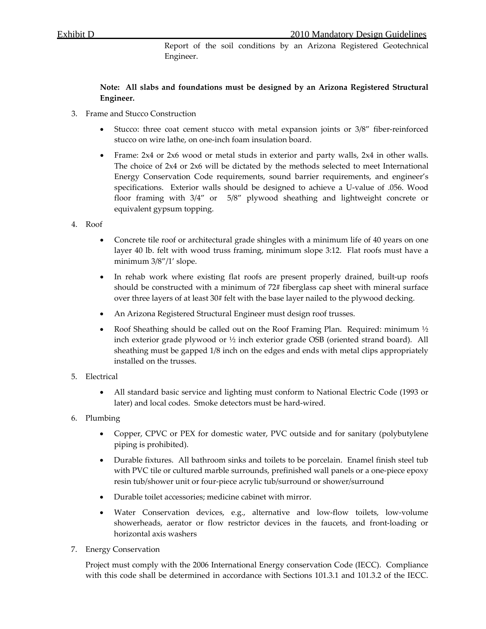Report of the soil conditions by an Arizona Registered Geotechnical Engineer.

# **Note: All slabs and foundations must be designed by an Arizona Registered Structural Engineer.**

- 3. Frame and Stucco Construction
	- Stucco: three coat cement stucco with metal expansion joints or 3/8" fiber-reinforced stucco on wire lathe, on one‐inch foam insulation board.
	- Frame: 2x4 or 2x6 wood or metal studs in exterior and party walls, 2x4 in other walls. The choice of 2x4 or 2x6 will be dictated by the methods selected to meet International Energy Conservation Code requirements, sound barrier requirements, and engineer's specifications. Exterior walls should be designed to achieve a U-value of .056. Wood floor framing with  $3/4''$  or  $5/8''$  plywood sheathing and lightweight concrete or equivalent gypsum topping.
- 4. Roof
	- Concrete tile roof or architectural grade shingles with a minimum life of 40 years on one layer 40 lb. felt with wood truss framing, minimum slope 3:12. Flat roofs must have a minimum 3/8"/1' slope.
	- In rehab work where existing flat roofs are present properly drained, built-up roofs should be constructed with a minimum of 72# fiberglass cap sheet with mineral surface over three layers of at least 30# felt with the base layer nailed to the plywood decking.
	- An Arizona Registered Structural Engineer must design roof trusses.
	- Roof Sheathing should be called out on the Roof Framing Plan. Required: minimum  $\frac{1}{2}$ inch exterior grade plywood or ½ inch exterior grade OSB (oriented strand board). All sheathing must be gapped 1/8 inch on the edges and ends with metal clips appropriately installed on the trusses.
- 5. Electrical
	- All standard basic service and lighting must conform to National Electric Code (1993 or later) and local codes. Smoke detectors must be hard‐wired.
- 6. Plumbing
	- Copper, CPVC or PEX for domestic water, PVC outside and for sanitary (polybutylene piping is prohibited).
	- Durable fixtures. All bathroom sinks and toilets to be porcelain. Enamel finish steel tub with PVC tile or cultured marble surrounds, prefinished wall panels or a one-piece epoxy resin tub/shower unit or four‐piece acrylic tub/surround or shower/surround
	- Durable toilet accessories; medicine cabinet with mirror.
	- Water Conservation devices, e.g., alternative and low‐flow toilets, low‐volume showerheads, aerator or flow restrictor devices in the faucets, and front‐loading or horizontal axis washers
- 7. Energy Conservation

Project must comply with the 2006 International Energy conservation Code (IECC). Compliance with this code shall be determined in accordance with Sections 101.3.1 and 101.3.2 of the IECC.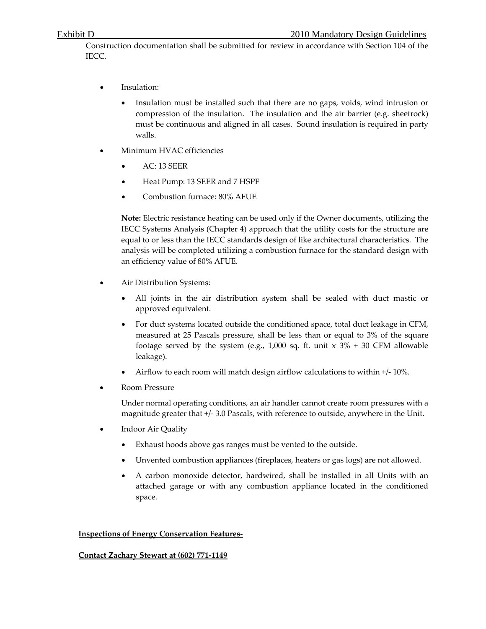Construction documentation shall be submitted for review in accordance with Section 104 of the IECC.

- Insulation:
	- Insulation must be installed such that there are no gaps, voids, wind intrusion or compression of the insulation. The insulation and the air barrier (e.g. sheetrock) must be continuous and aligned in all cases. Sound insulation is required in party walls.
- Minimum HVAC efficiencies
	- AC: 13 SEER
	- Heat Pump: 13 SEER and 7 HSPF
	- Combustion furnace: 80% AFUE

**Note:** Electric resistance heating can be used only if the Owner documents, utilizing the IECC Systems Analysis (Chapter 4) approach that the utility costs for the structure are equal to or less than the IECC standards design of like architectural characteristics. The analysis will be completed utilizing a combustion furnace for the standard design with an efficiency value of 80% AFUE.

- Air Distribution Systems:
	- All joints in the air distribution system shall be sealed with duct mastic or approved equivalent.
	- For duct systems located outside the conditioned space, total duct leakage in CFM, measured at 25 Pascals pressure, shall be less than or equal to 3% of the square footage served by the system (e.g., 1,000 sq. ft. unit  $x$  3% + 30 CFM allowable leakage).
	- Airflow to each room will match design airflow calculations to within +/‐ 10%.
- Room Pressure

Under normal operating conditions, an air handler cannot create room pressures with a magnitude greater that +/‐ 3.0 Pascals, with reference to outside, anywhere in the Unit.

- Indoor Air Quality
	- Exhaust hoods above gas ranges must be vented to the outside.
	- Unvented combustion appliances (fireplaces, heaters or gas logs) are not allowed.
	- A carbon monoxide detector, hardwired, shall be installed in all Units with an attached garage or with any combustion appliance located in the conditioned space.

#### **Inspections of Energy Conservation Features‐**

#### **Contact Zachary Stewart at (602) 771‐1149**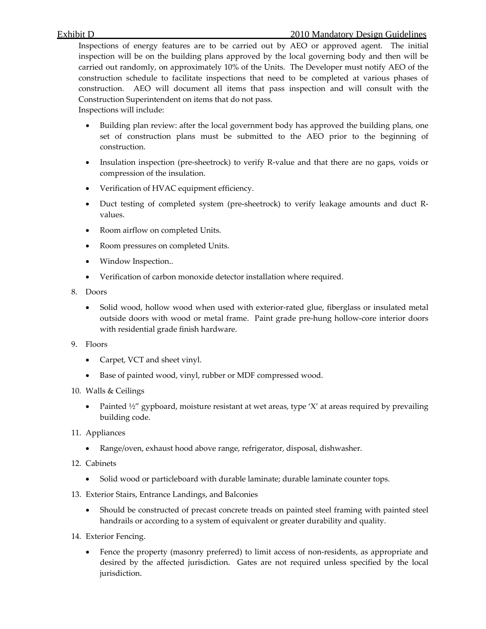Inspections of energy features are to be carried out by AEO or approved agent. The initial inspection will be on the building plans approved by the local governing body and then will be carried out randomly, on approximately 10% of the Units. The Developer must notify AEO of the construction schedule to facilitate inspections that need to be completed at various phases of construction. AEO will document all items that pass inspection and will consult with the Construction Superintendent on items that do not pass.

Inspections will include:

- Building plan review: after the local government body has approved the building plans, one set of construction plans must be submitted to the AEO prior to the beginning of construction.
- Insulation inspection (pre-sheetrock) to verify R-value and that there are no gaps, voids or compression of the insulation.
- Verification of HVAC equipment efficiency.
- Duct testing of completed system (pre-sheetrock) to verify leakage amounts and duct Rvalues.
- Room airflow on completed Units.
- Room pressures on completed Units.
- Window Inspection..
- Verification of carbon monoxide detector installation where required.
- 8. Doors
	- Solid wood, hollow wood when used with exterior-rated glue, fiberglass or insulated metal outside doors with wood or metal frame. Paint grade pre‐hung hollow‐core interior doors with residential grade finish hardware.
- 9. Floors
	- Carpet, VCT and sheet vinyl.
	- Base of painted wood, vinyl, rubber or MDF compressed wood.
- 10. Walls & Ceilings
	- Painted  $\frac{1}{2}$  gypboard, moisture resistant at wet areas, type 'X' at areas required by prevailing building code.
- 11. Appliances
	- Range/oven, exhaust hood above range, refrigerator, disposal, dishwasher.
- 12. Cabinets
	- Solid wood or particleboard with durable laminate; durable laminate counter tops.
- 13. Exterior Stairs, Entrance Landings, and Balconies
	- Should be constructed of precast concrete treads on painted steel framing with painted steel handrails or according to a system of equivalent or greater durability and quality.
- 14. Exterior Fencing.
	- Fence the property (masonry preferred) to limit access of non-residents, as appropriate and desired by the affected jurisdiction. Gates are not required unless specified by the local jurisdiction.